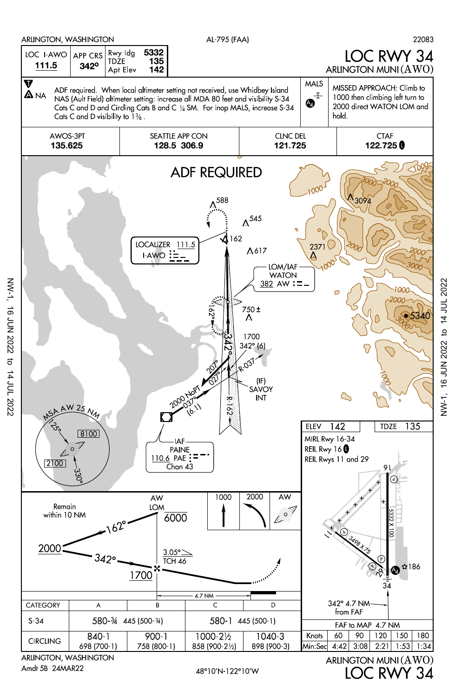

NW-1, 16 JUN 2022 to 14 JUL 2022

to 14 JUL 2022

**16 JUN 2022** 

**NW-1,** 

LOC RWY 34 (AWO) ARLINGTON MUNI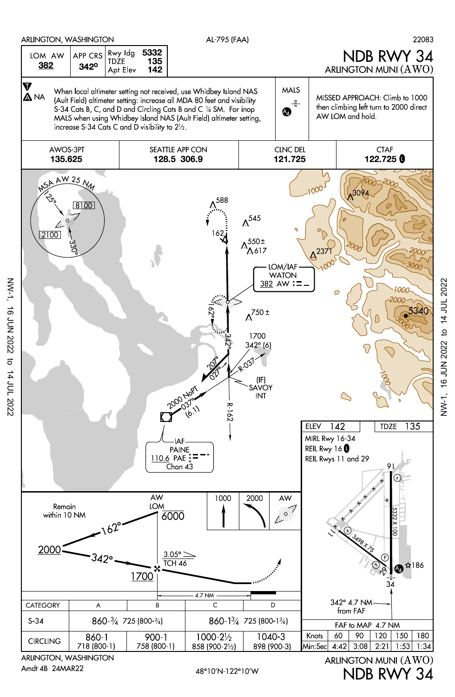

NW-1, 16 JUN 2022 to 14 JUL 2022

**16 JUN 2022** 

 $NW-1$ ,

NDB RWY 34